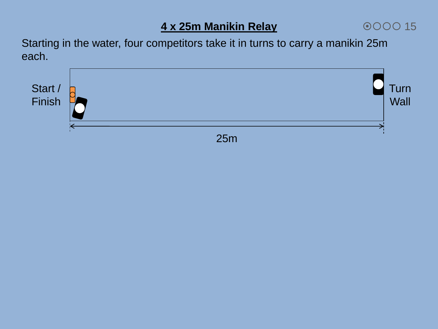# **4 x 25m Manikin Relay**

000015

Starting in the water, four competitors take it in turns to carry a manikin 25m each.

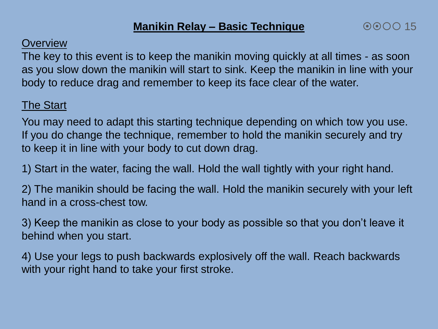#### **Overview**

The key to this event is to keep the manikin moving quickly at all times - as soon as you slow down the manikin will start to sink. Keep the manikin in line with your body to reduce drag and remember to keep its face clear of the water.

# The Start

You may need to adapt this starting technique depending on which tow you use. If you do change the technique, remember to hold the manikin securely and try to keep it in line with your body to cut down drag.

1) Start in the water, facing the wall. Hold the wall tightly with your right hand.

2) The manikin should be facing the wall. Hold the manikin securely with your left hand in a cross-chest tow.

3) Keep the manikin as close to your body as possible so that you don't leave it behind when you start.

4) Use your legs to push backwards explosively off the wall. Reach backwards with your right hand to take your first stroke.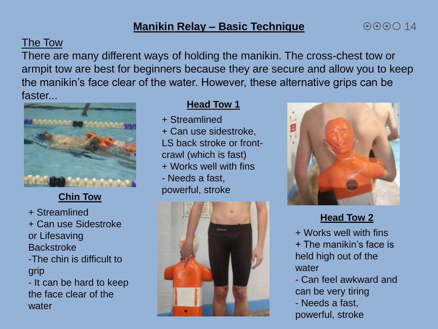## **Manikin Relay – Basic Technique**

## The Tow

There are many different ways of holding the manikin. The cross-chest tow or armpit tow are best for beginners because they are secure and allow you to keep the manikin's face clear of the water. However, these alternative grips can be faster...



# **Chin Tow**

+ Streamlined + Can use Sidestroke or Lifesaving **Backstroke** -The chin is difficult to grip - It can be hard to keep the face clear of the water

#### **Head Tow 1**

- + Streamlined
- + Can use sidestroke, LS back stroke or frontcrawl (which is fast) + Works well with fins - Needs a fast, powerful, stroke





 $000014$ 

#### **Head Tow 2**

+ Works well with fins + The manikin's face is held high out of the water

- Can feel awkward and can be very tiring - Needs a fast, powerful, stroke